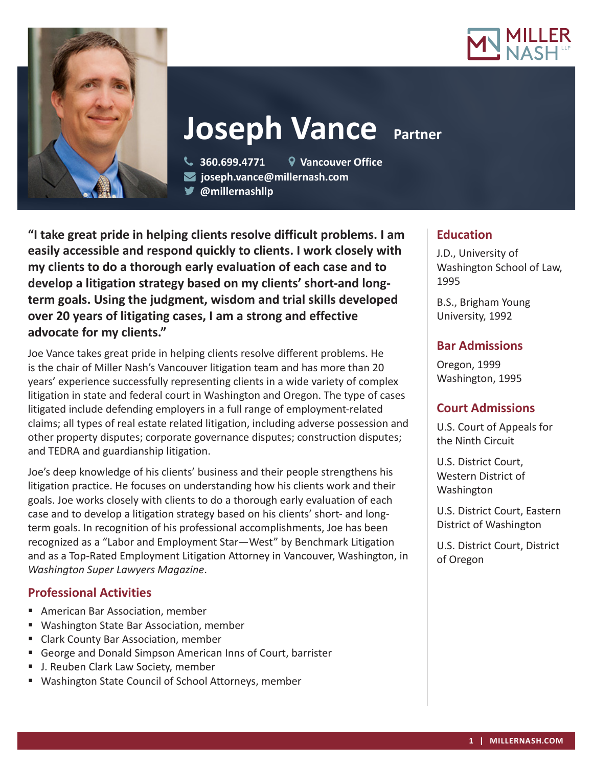



**Joseph Vance Partner** 

 **360.699.4771 Vancouver Office joseph.vance@millernash.com** 

**@millernashllp** 

**"I take great pride in helping clients resolve difficult problems. I am easily accessible and respond quickly to clients. I work closely with my clients to do a thorough early evaluation of each case and to develop a litigation strategy based on my clients' short-and longterm goals. Using the judgment, wisdom and trial skills developed over 20 years of litigating cases, I am a strong and effective advocate for my clients."**

Joe Vance takes great pride in helping clients resolve different problems. He is the chair of Miller Nash's Vancouver litigation team and has more than 20 years' experience successfully representing clients in a wide variety of complex litigation in state and federal court in Washington and Oregon. The type of cases litigated include defending employers in a full range of employment-related claims; all types of real estate related litigation, including adverse possession and other property disputes; corporate governance disputes; construction disputes; and TEDRA and guardianship litigation.

Joe's deep knowledge of his clients' business and their people strengthens his litigation practice. He focuses on understanding how his clients work and their goals. Joe works closely with clients to do a thorough early evaluation of each case and to develop a litigation strategy based on his clients' short- and longterm goals. In recognition of his professional accomplishments, Joe has been recognized as a "Labor and Employment Star—West" by Benchmark Litigation and as a Top-Rated Employment Litigation Attorney in Vancouver, Washington, in *Washington Super Lawyers Magazine*.

# **Professional Activities**

- American Bar Association, member
- Washington State Bar Association, member
- **E** Clark County Bar Association, member
- George and Donald Simpson American Inns of Court, barrister
- J. Reuben Clark Law Society, member
- Washington State Council of School Attorneys, member

# **Education**

J.D., University of Washington School of Law, 1995

B.S., Brigham Young University, 1992

# **Bar Admissions**

Oregon, 1999 Washington, 1995

# **Court Admissions**

U.S. Court of Appeals for the Ninth Circuit

U.S. District Court, Western District of Washington

U.S. District Court, Eastern District of Washington

U.S. District Court, District of Oregon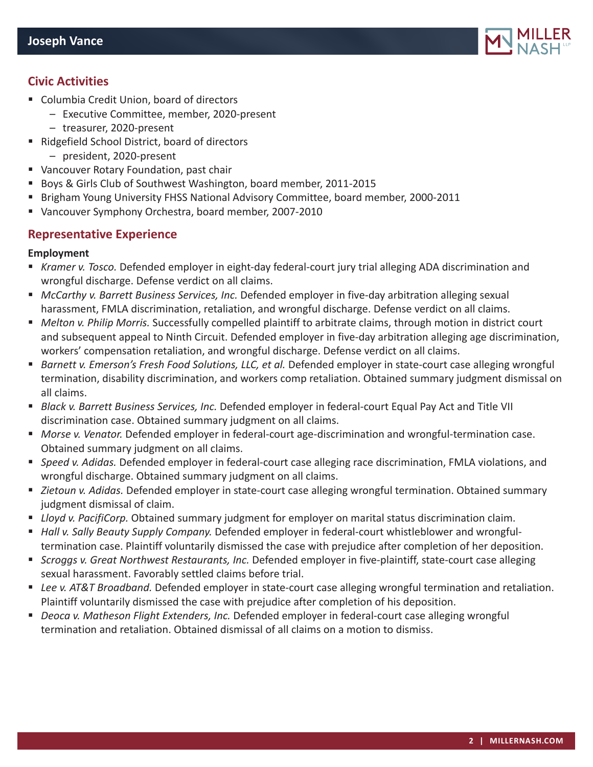

# **Civic Activities**

- Columbia Credit Union, board of directors
	- Executive Committee, member, 2020-present
	- treasurer, 2020-present
- Ridgefield School District, board of directors
	- president, 2020-present
- Vancouver Rotary Foundation, past chair
- Boys & Girls Club of Southwest Washington, board member, 2011-2015
- **Bilam Brigham Young University FHSS National Advisory Committee, board member, 2000-2011**
- Vancouver Symphony Orchestra, board member, 2007-2010

### **Representative Experience**

### **Employment**

- *Kramer v. Tosco.* Defended employer in eight-day federal-court jury trial alleging ADA discrimination and wrongful discharge. Defense verdict on all claims.
- **McCarthy v. Barrett Business Services, Inc. Defended employer in five-day arbitration alleging sexual** harassment, FMLA discrimination, retaliation, and wrongful discharge. Defense verdict on all claims.
- *Melton v. Philip Morris.* Successfully compelled plaintiff to arbitrate claims, through motion in district court and subsequent appeal to Ninth Circuit. Defended employer in five-day arbitration alleging age discrimination, workers' compensation retaliation, and wrongful discharge. Defense verdict on all claims.
- *Barnett v. Emerson's Fresh Food Solutions, LLC, et al.* Defended employer in state-court case alleging wrongful termination, disability discrimination, and workers comp retaliation. Obtained summary judgment dismissal on all claims.
- **B** Black v. Barrett Business Services, Inc. Defended employer in federal-court Equal Pay Act and Title VII discrimination case. Obtained summary judgment on all claims.
- *Morse v. Venator.* Defended employer in federal-court age-discrimination and wrongful-termination case. Obtained summary judgment on all claims.
- *Speed v. Adidas.* Defended employer in federal-court case alleging race discrimination, FMLA violations, and wrongful discharge. Obtained summary judgment on all claims.
- *Zietoun v. Adidas.* Defended employer in state-court case alleging wrongful termination. Obtained summary judgment dismissal of claim.
- *Lloyd v. PacifiCorp.* Obtained summary judgment for employer on marital status discrimination claim.
- *Hall v. Sally Beauty Supply Company.* Defended employer in federal-court whistleblower and wrongfultermination case. Plaintiff voluntarily dismissed the case with prejudice after completion of her deposition.
- *Scroggs v. Great Northwest Restaurants, Inc.* Defended employer in five-plaintiff, state-court case alleging sexual harassment. Favorably settled claims before trial.
- *Lee v. AT&T Broadband.* Defended employer in state-court case alleging wrongful termination and retaliation. Plaintiff voluntarily dismissed the case with prejudice after completion of his deposition.
- *Deoca v. Matheson Flight Extenders, Inc.* Defended employer in federal-court case alleging wrongful termination and retaliation. Obtained dismissal of all claims on a motion to dismiss.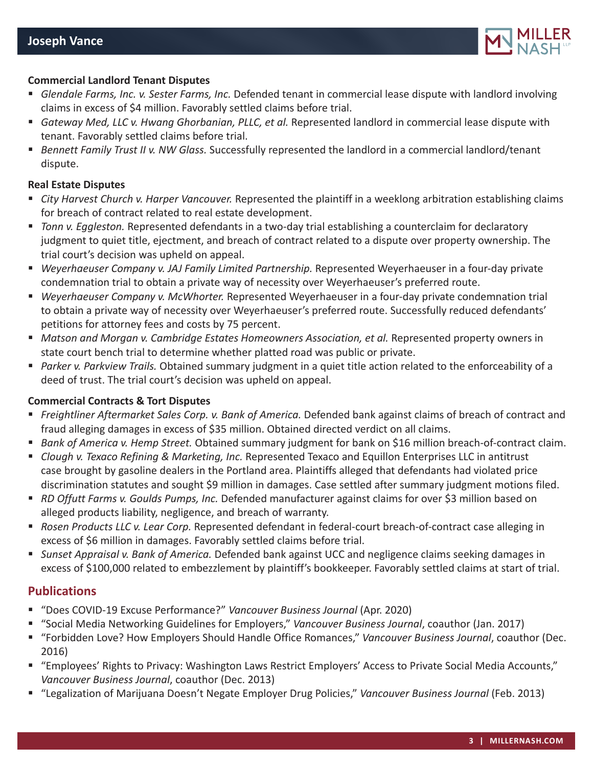

#### **Commercial Landlord Tenant Disputes**

- *Glendale Farms, Inc. v. Sester Farms, Inc.* Defended tenant in commercial lease dispute with landlord involving claims in excess of \$4 million. Favorably settled claims before trial.
- *Gateway Med, LLC v. Hwang Ghorbanian, PLLC, et al.* Represented landlord in commercial lease dispute with tenant. Favorably settled claims before trial.
- *Bennett Family Trust II v. NW Glass.* Successfully represented the landlord in a commercial landlord/tenant dispute.

#### **Real Estate Disputes**

- *City Harvest Church v. Harper Vancouver.* Represented the plaintiff in a weeklong arbitration establishing claims for breach of contract related to real estate development.
- *Tonn v. Eggleston.* Represented defendants in a two-day trial establishing a counterclaim for declaratory judgment to quiet title, ejectment, and breach of contract related to a dispute over property ownership. The trial court's decision was upheld on appeal.
- *Weyerhaeuser Company v. JAJ Family Limited Partnership.* Represented Weyerhaeuser in a four-day private condemnation trial to obtain a private way of necessity over Weyerhaeuser's preferred route.
- *Weyerhaeuser Company v. McWhorter.* Represented Weyerhaeuser in a four-day private condemnation trial to obtain a private way of necessity over Weyerhaeuser's preferred route. Successfully reduced defendants' petitions for attorney fees and costs by 75 percent.
- **Matson and Morgan v. Cambridge Estates Homeowners Association, et al. Represented property owners in** state court bench trial to determine whether platted road was public or private.
- *Parker v. Parkview Trails.* Obtained summary judgment in a quiet title action related to the enforceability of a deed of trust. The trial court's decision was upheld on appeal.

#### **Commercial Contracts & Tort Disputes**

- *Freightliner Aftermarket Sales Corp. v. Bank of America.* Defended bank against claims of breach of contract and fraud alleging damages in excess of \$35 million. Obtained directed verdict on all claims.
- *Bank of America v. Hemp Street.* Obtained summary judgment for bank on \$16 million breach-of-contract claim.
- *Clough v. Texaco Refining & Marketing, Inc.* Represented Texaco and Equillon Enterprises LLC in antitrust case brought by gasoline dealers in the Portland area. Plaintiffs alleged that defendants had violated price discrimination statutes and sought \$9 million in damages. Case settled after summary judgment motions filed.
- *RD Offutt Farms v. Goulds Pumps, Inc.* Defended manufacturer against claims for over \$3 million based on alleged products liability, negligence, and breach of warranty.
- *Rosen Products LLC v. Lear Corp.* Represented defendant in federal-court breach-of-contract case alleging in excess of \$6 million in damages. Favorably settled claims before trial.
- *Sunset Appraisal v. Bank of America.* Defended bank against UCC and negligence claims seeking damages in excess of \$100,000 related to embezzlement by plaintiff's bookkeeper. Favorably settled claims at start of trial.

### **Publications**

- "Does COVID-19 Excuse Performance?" *Vancouver Business Journal* (Apr. 2020)
- "Social Media Networking Guidelines for Employers," *Vancouver Business Journal*, coauthor (Jan. 2017)
- "Forbidden Love? How Employers Should Handle Office Romances," *Vancouver Business Journal*, coauthor (Dec. 2016)
- "Employees' Rights to Privacy: Washington Laws Restrict Employers' Access to Private Social Media Accounts," *Vancouver Business Journal*, coauthor (Dec. 2013)
- "Legalization of Marijuana Doesn't Negate Employer Drug Policies," *Vancouver Business Journal* (Feb. 2013)